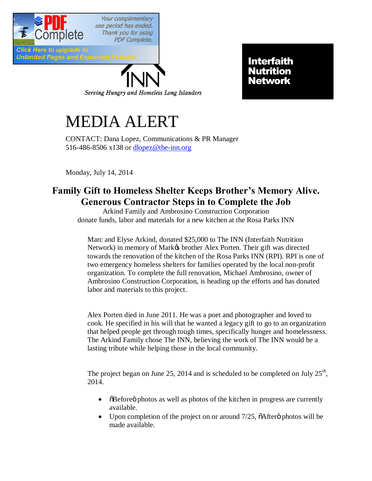

**Unlimited Pages and Expanded Features** 

Serving Hungry and Homeless Long Islanders

Interfaith Nutrition Network

## MEDIA ALERT

CONTACT: Dana Lopez, Communications & PR Manager 516-486-8506 x138 or [dlopez@the-inn.org](mailto:dlopez@the-inn.org)

Monday, July 14, 2014

## **Family Gift to Homeless Shelter Keeps Brother's Memory Alive. Generous Contractor Steps in to Complete the Job**

Arkind Family and Ambrosino Construction Corporation donate funds, labor and materials for a new kitchen at the Rosa Parks INN

Marc and Elyse Arkind, donated \$25,000 to The INN (Interfaith Nutrition Network) in memory of Markø brother Alex Porten. Their gift was directed towards the renovation of the kitchen of the Rosa Parks INN (RPI). RPI is one of two emergency homeless shelters for families operated by the local non-profit organization. To complete the full renovation, Michael Ambrosino, owner of Ambrosino Construction Corporation, is heading up the efforts and has donated labor and materials to this project.

Alex Porten died in June 2011. He was a poet and photographer and loved to cook. He specified in his will that he wanted a legacy gift to go to an organization that helped people get through tough times, specifically hunger and homelessness. The Arkind Family chose The INN, believing the work of The INN would be a lasting tribute while helping those in the local community.

The project began on June 25, 2014 and is scheduled to be completed on July  $25<sup>th</sup>$ , 2014.

- $\ddot{\text{o}}$ Before $\ddot{\text{o}}$  photos as well as photos of the kitchen in progress are currently available.
- Upon completion of the project on or around  $7/25$ ,  $\delta$ After $\ddot{\sigma}$  photos will be made available.